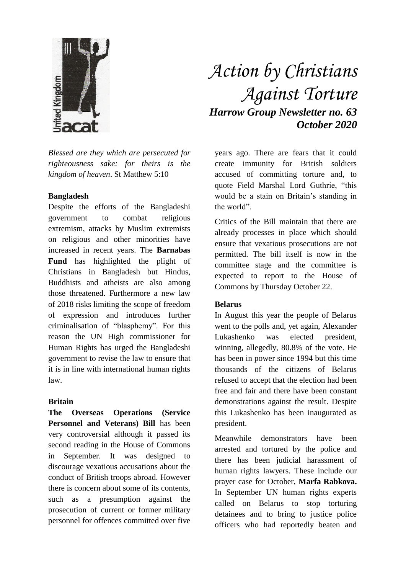

*Blessed are they which are persecuted for righteousness sake: for theirs is the kingdom of heaven*. St Matthew 5:10

#### **Bangladesh**

Despite the efforts of the Bangladeshi government to combat religious extremism, attacks by Muslim extremists on religious and other minorities have increased in recent years. The **Barnabas Fund** has highlighted the plight of Christians in Bangladesh but Hindus, Buddhists and atheists are also among those threatened. Furthermore a new law of 2018 risks limiting the scope of freedom of expression and introduces further criminalisation of "blasphemy". For this reason the UN High commissioner for Human Rights has urged the Bangladeshi government to revise the law to ensure that it is in line with international human rights law.

## **Britain**

**The Overseas Operations (Service Personnel and Veterans) Bill** has been very controversial although it passed its second reading in the House of Commons in September. It was designed to discourage vexatious accusations about the conduct of British troops abroad. However there is concern about some of its contents, such as a presumption against the prosecution of current or former military personnel for offences committed over five

# *Action by Christians Against Torture Harrow Group Newsletter no. 63 October 2020*

years ago. There are fears that it could create immunity for British soldiers accused of committing torture and, to quote Field Marshal Lord Guthrie, "this would be a stain on Britain's standing in the world".

Critics of the Bill maintain that there are already processes in place which should ensure that vexatious prosecutions are not permitted. The bill itself is now in the committee stage and the committee is expected to report to the House of Commons by Thursday October 22.

## **Belarus**

In August this year the people of Belarus went to the polls and, yet again, Alexander Lukashenko was elected president, winning, allegedly, 80.8% of the vote. He has been in power since 1994 but this time thousands of the citizens of Belarus refused to accept that the election had been free and fair and there have been constant demonstrations against the result. Despite this Lukashenko has been inaugurated as president.

Meanwhile demonstrators have been arrested and tortured by the police and there has been judicial harassment of human rights lawyers. These include our prayer case for October, **Marfa Rabkova.** In September UN human rights experts called on Belarus to stop torturing detainees and to bring to justice police officers who had reportedly beaten and